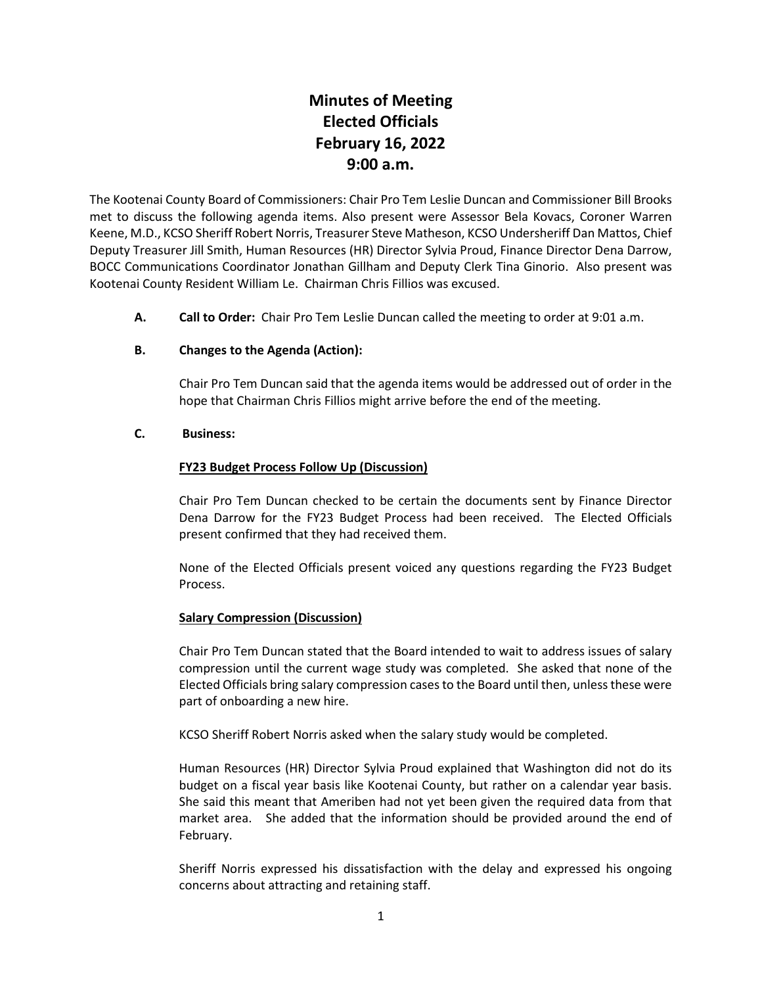# **Minutes of Meeting Elected Officials February 16, 2022 9:00 a.m.**

The Kootenai County Board of Commissioners: Chair Pro Tem Leslie Duncan and Commissioner Bill Brooks met to discuss the following agenda items. Also present were Assessor Bela Kovacs, Coroner Warren Keene, M.D., KCSO Sheriff Robert Norris, Treasurer Steve Matheson, KCSO Undersheriff Dan Mattos, Chief Deputy Treasurer Jill Smith, Human Resources (HR) Director Sylvia Proud, Finance Director Dena Darrow, BOCC Communications Coordinator Jonathan Gillham and Deputy Clerk Tina Ginorio. Also present was Kootenai County Resident William Le. Chairman Chris Fillios was excused.

**A. Call to Order:** Chair Pro Tem Leslie Duncan called the meeting to order at 9:01 a.m.

## **B. Changes to the Agenda (Action):**

Chair Pro Tem Duncan said that the agenda items would be addressed out of order in the hope that Chairman Chris Fillios might arrive before the end of the meeting.

#### **C. Business:**

## **FY23 Budget Process Follow Up (Discussion)**

Chair Pro Tem Duncan checked to be certain the documents sent by Finance Director Dena Darrow for the FY23 Budget Process had been received. The Elected Officials present confirmed that they had received them.

None of the Elected Officials present voiced any questions regarding the FY23 Budget Process.

#### **Salary Compression (Discussion)**

Chair Pro Tem Duncan stated that the Board intended to wait to address issues of salary compression until the current wage study was completed. She asked that none of the Elected Officials bring salary compression cases to the Board until then, unless these were part of onboarding a new hire.

KCSO Sheriff Robert Norris asked when the salary study would be completed.

Human Resources (HR) Director Sylvia Proud explained that Washington did not do its budget on a fiscal year basis like Kootenai County, but rather on a calendar year basis. She said this meant that Ameriben had not yet been given the required data from that market area. She added that the information should be provided around the end of February.

Sheriff Norris expressed his dissatisfaction with the delay and expressed his ongoing concerns about attracting and retaining staff.